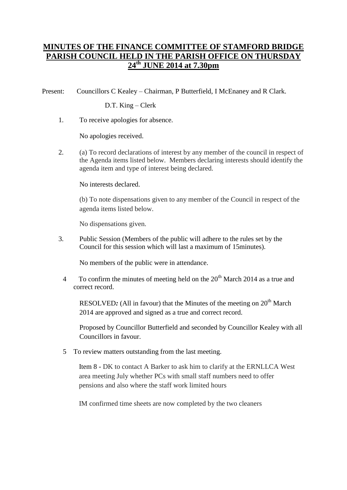## **MINUTES OF THE FINANCE COMMITTEE OF STAMFORD BRIDGE PARISH COUNCIL HELD IN THE PARISH OFFICE ON THURSDAY 24th JUNE 2014 at 7.30pm**

Present: Councillors C Kealey – Chairman, P Butterfield, I McEnaney and R Clark.

D.T. King – Clerk

1. To receive apologies for absence.

No apologies received.

2. (a) To record declarations of interest by any member of the council in respect of the Agenda items listed below. Members declaring interests should identify the agenda item and type of interest being declared.

No interests declared.

(b) To note dispensations given to any member of the Council in respect of the agenda items listed below.

No dispensations given.

3. Public Session (Members of the public will adhere to the rules set by the Council for this session which will last a maximum of 15minutes).

No members of the public were in attendance.

4 To confirm the minutes of meeting held on the 20<sup>th</sup> March 2014 as a true and correct record.

RESOLVED: (All in favour) that the Minutes of the meeting on 20<sup>th</sup> March 2014 are approved and signed as a true and correct record.

Proposed by Councillor Butterfield and seconded by Councillor Kealey with all Councillors in favour.

5 To review matters outstanding from the last meeting.

Item 8 - DK to contact A Barker to ask him to clarify at the ERNLLCA West area meeting July whether PCs with small staff numbers need to offer pensions and also where the staff work limited hours

IM confirmed time sheets are now completed by the two cleaners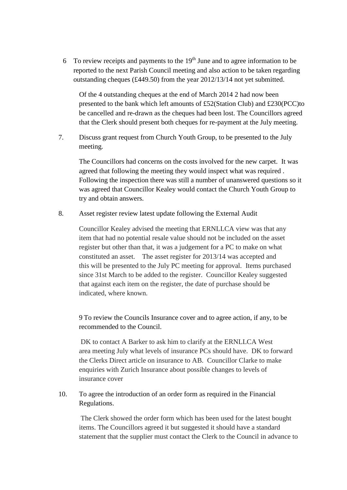6 To review receipts and payments to the  $19<sup>th</sup>$  June and to agree information to be reported to the next Parish Council meeting and also action to be taken regarding outstanding cheques (£449.50) from the year 2012/13/14 not yet submitted.

Of the 4 outstanding cheques at the end of March 2014 2 had now been presented to the bank which left amounts of £52(Station Club) and £230(PCC)to be cancelled and re-drawn as the cheques had been lost. The Councillors agreed that the Clerk should present both cheques for re-payment at the July meeting.

7. Discuss grant request from Church Youth Group, to be presented to the July meeting.

The Councillors had concerns on the costs involved for the new carpet. It was agreed that following the meeting they would inspect what was required . Following the inspection there was still a number of unanswered questions so it was agreed that Councillor Kealey would contact the Church Youth Group to try and obtain answers.

8. Asset register review latest update following the External Audit

Councillor Kealey advised the meeting that ERNLLCA view was that any item that had no potential resale value should not be included on the asset register but other than that, it was a judgement for a PC to make on what constituted an asset. The asset register for 2013/14 was accepted and this will be presented to the July PC meeting for approval. Items purchased since 31st March to be added to the register. Councillor Kealey suggested that against each item on the register, the date of purchase should be indicated, where known.

9 To review the Councils Insurance cover and to agree action, if any, to be recommended to the Council.

DK to contact A Barker to ask him to clarify at the ERNLLCA West area meeting July what levels of insurance PCs should have. DK to forward the Clerks Direct article on insurance to AB. Councillor Clarke to make enquiries with Zurich Insurance about possible changes to levels of insurance cover

10. To agree the introduction of an order form as required in the Financial Regulations.

The Clerk showed the order form which has been used for the latest bought items. The Councillors agreed it but suggested it should have a standard statement that the supplier must contact the Clerk to the Council in advance to